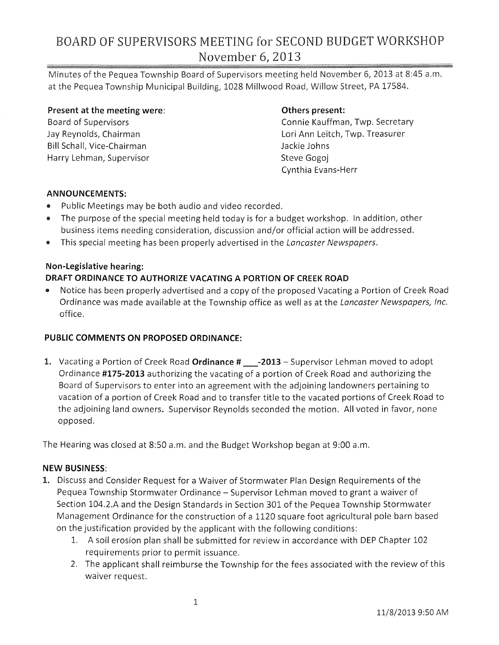# BOARD OF SUPERVISORS MEETING for SECOND BUDGET WORKSHOP November 6,2013

Minutes of the Pequea Township Board of Supervisors meeting held November 6,2013 at 8:45 a.m. at the Pequea Township Municipal Building, 1028 Millwood Road, Willow Street, PA 17584.

#### Present at the meeting were: Board of Supervisors

Jay Reynolds, Chairman Bill Schall, Vice-Chairman Harry Lehman, Supervisor

### Others present:

Connie Kauffman, Twp. Secretary Lori Ann Leitch, Twp. Treasurer Jackie Johns Steve Gogoj Cynthia Evans-Herr

### ANNOUNCEMENTS:

- Public Meetings may be both audio and video recorded.
- The purpose of the special meeting held today is for a budget workshop. In addition, other business items needing consideration, discussion and/or official action will be addressed.
- This special meeting has been properly advertised in the Lancaster Newspapers.

### Non-legislative hearing: DRAFT ORDINANCE TO AUTHORIZE VACATING A PORTION OF CREEK ROAD

• Notice has been properly advertised and a copy of the proposed Vacating a Portion of Creek Road Ordinance was made available at the Township office as well as at the Lancaster Newspapers, Inc. office.

# PUBLIC COMMENTS ON PROPOSED ORDINANCE:

1. Vacating a Portion of Creek Road Ordinance # \_\_\_\_- 2013 - Supervisor Lehman moved to adopt Ordinance #175-2013 authorizing the vacating of a portion of Creek Road and authorizing the Board of Supervisors to enter into an agreement with the adjoining landowners pertaining to vacation of a portion of Creek Road and to transfer title to the vacated portions of Creek Road to the adjoining land owners. Supervisor Reynolds seconded the motion. All voted in favor, none opposed.

The Hearing was closed at 8:50 a.m. and the Budget Workshop began at 9:00 a.m.

#### NEW BUSINESS:

- 1. Discuss and Consider Request for a Waiver of Stormwater Plan Design Requirements of the Pequea Township Stormwater Ordinance - Supervisor Lehman moved to grant a waiver of Section 104.2.A and the Design Standards in Section 301 of the Pequea Township Stormwater Management Ordinance for the construction of a 1120 square foot agricultural pole barn based on the justification provided by the applicant with the following conditions:
	- 1. A soil erosion plan shall be submitted for review in accordance with DEP Chapter 102 requirements prior to permit issuance.
	- 2. The applicant shall reimburse the Township for the fees associated with the review of this waiver request.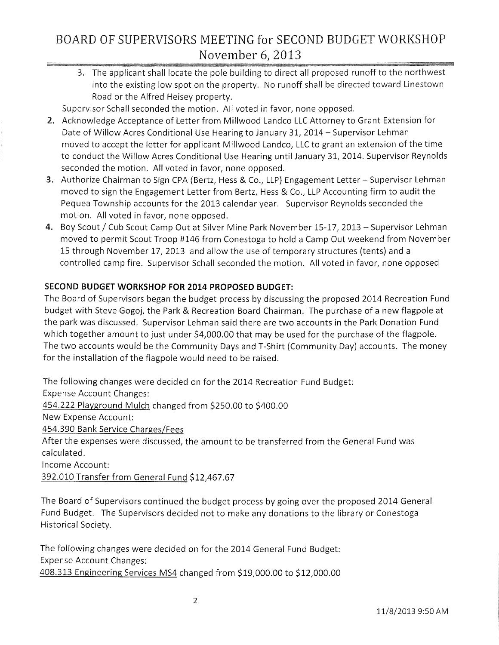# BOARD OF SUPERVISORS MEETING for SECOND BUDGET WORKSHOP November 6, 2013

3. The applicant shall locate the pole building to direct all proposed runoff to the northwest into the existing low spot on the property. No runoff shall be directed toward Linestown Road or the Alfred Heisey property.

Supervisor Schall seconded the motion. All voted in favor, none opposed.

- 2. Acknowledge Acceptance of Letter from Millwood Landco **LLC** Attorney to Grant Extension for Date of Willow Acres Conditional Use Hearing to January 31, 2014 - Supervisor Lehman moved to accept the letter for applicant Millwood Landco, **LLC** to grant an extension of the time to conduct the Willow Acres Conditional Use Hearing until January 31, 2014. Supervisor Reynolds seconded the motion. All voted in favor, none opposed.
- 3. Authorize Chairman to Sign CPA (Bertz, Hess & Co., LLP) Engagement Letter Supervisor Lehman moved to sign the Engagement Letter from Bertz, Hess & Co., **LLP** Accounting firm to audit the Pequea Township accounts for the 2013 calendar year. Supervisor Reynolds seconded the motion. All voted in favor, none opposed.
- 4. Boy Scout / Cub Scout Camp Out at Silver Mine Park November 15-17, 2013 Supervisor Lehman moved to permit Scout Troop #146 from Conestoga to hold a Camp Out weekend from November 15 through November 17, 2013 and allow the use of temporary structures (tents) and a controlled camp fire. Supervisor Schall seconded the motion. All voted in favor, none opposed

#### **SECOND BUDGET WORKSHOP FOR 2014 PROPOSED BUDGET:**

The Board of Supervisors began the budget process by discussing the proposed 2014 Recreation Fund budget with Steve Gogoj, the Park & Recreation Board Chairman. The purchase of a new flagpole at the park was discussed. Supervisor Lehman said there are two accounts in the Park Donation Fund which together amount to just under \$4,000.00 that may be used for the purchase of the flagpole. The two accounts would be the Community Days and T-Shirt (Community Day) accounts. The money for the installation of the flagpole would need to be raised.

The following changes were decided on for the 2014 Recreation Fund Budget: Expense Account Changes: 454.222 Playground Mulch changed from \$250.00 to \$400.00 New Expense Account: 454.390 Bank Service Charges/Fees After the expenses were discussed, the amount to be transferred from the General Fund was calculated. Income Account: 392.010 Transfer from General Fund \$12,467.67

The Board of Supervisors continued the budget process by going over the proposed 2014 General Fund Budget. The Supervisors decided not to make any donations to the library or Conestoga Historical Society.

The following changes were decided on for the 2014 General Fund Budget: Expense Account Changes: 408.313 Engineering Services MS4 changed from \$19,000.00 to \$12,000.00